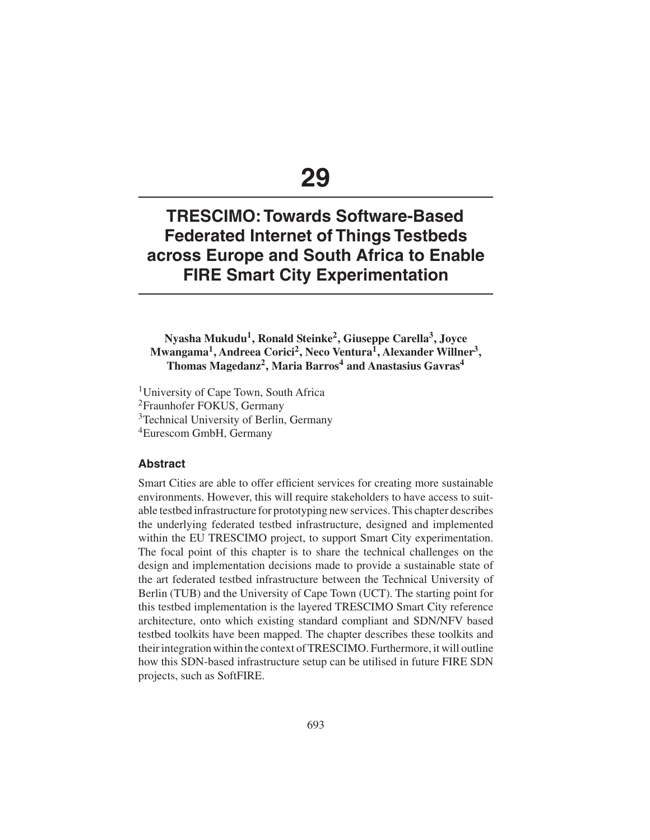# **29**

# **TRESCIMO: Towards Software-Based Federated Internet of Things Testbeds across Europe and South Africa to Enable FIRE Smart City Experimentation**

**Nyasha Mukudu1, Ronald Steinke2, Giuseppe Carella3, Joyce Mwangama1, Andreea Corici2, Neco Ventura1, Alexander Willner3, Thomas Magedanz2, Maria Barros4 and Anastasius Gavras<sup>4</sup>**

- <sup>1</sup>University of Cape Town, South Africa
- 2Fraunhofer FOKUS, Germany
- <sup>3</sup>Technical University of Berlin, Germany

4Eurescom GmbH, Germany

### **Abstract**

Smart Cities are able to offer efficient services for creating more sustainable environments. However, this will require stakeholders to have access to suitable testbed infrastructure for prototyping new services. This chapter describes the underlying federated testbed infrastructure, designed and implemented within the EU TRESCIMO project, to support Smart City experimentation. The focal point of this chapter is to share the technical challenges on the design and implementation decisions made to provide a sustainable state of the art federated testbed infrastructure between the Technical University of Berlin (TUB) and the University of Cape Town (UCT). The starting point for this testbed implementation is the layered TRESCIMO Smart City reference architecture, onto which existing standard compliant and SDN/NFV based testbed toolkits have been mapped. The chapter describes these toolkits and their integration within the context of TRESCIMO. Furthermore, it will outline how this SDN-based infrastructure setup can be utilised in future FIRE SDN projects, such as SoftFIRE.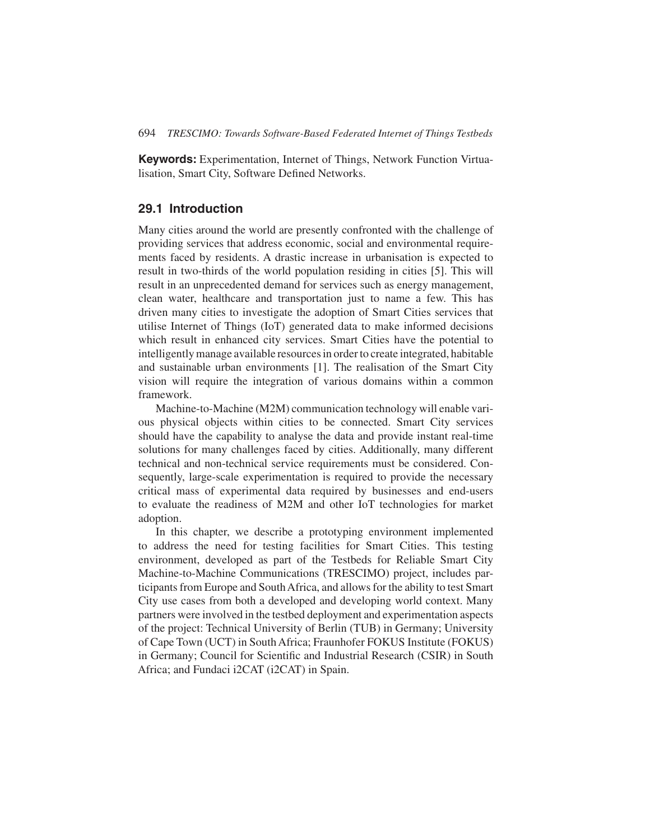**Keywords:** Experimentation, Internet of Things, Network Function Virtualisation, Smart City, Software Defined Networks.

# **29.1 Introduction**

Many cities around the world are presently confronted with the challenge of providing services that address economic, social and environmental requirements faced by residents. A drastic increase in urbanisation is expected to result in two-thirds of the world population residing in cities [5]. This will result in an unprecedented demand for services such as energy management, clean water, healthcare and transportation just to name a few. This has driven many cities to investigate the adoption of Smart Cities services that utilise Internet of Things (IoT) generated data to make informed decisions which result in enhanced city services. Smart Cities have the potential to intelligently manage available resources in order to create integrated, habitable and sustainable urban environments [1]. The realisation of the Smart City vision will require the integration of various domains within a common framework.

Machine-to-Machine (M2M) communication technology will enable various physical objects within cities to be connected. Smart City services should have the capability to analyse the data and provide instant real-time solutions for many challenges faced by cities. Additionally, many different technical and non-technical service requirements must be considered. Consequently, large-scale experimentation is required to provide the necessary critical mass of experimental data required by businesses and end-users to evaluate the readiness of M2M and other IoT technologies for market adoption.

In this chapter, we describe a prototyping environment implemented to address the need for testing facilities for Smart Cities. This testing environment, developed as part of the Testbeds for Reliable Smart City Machine-to-Machine Communications (TRESCIMO) project, includes participants from Europe and South Africa, and allows for the ability to test Smart City use cases from both a developed and developing world context. Many partners were involved in the testbed deployment and experimentation aspects of the project: Technical University of Berlin (TUB) in Germany; University of Cape Town (UCT) in South Africa; Fraunhofer FOKUS Institute (FOKUS) in Germany; Council for Scientific and Industrial Research (CSIR) in South Africa; and Fundaci i2CAT (i2CAT) in Spain.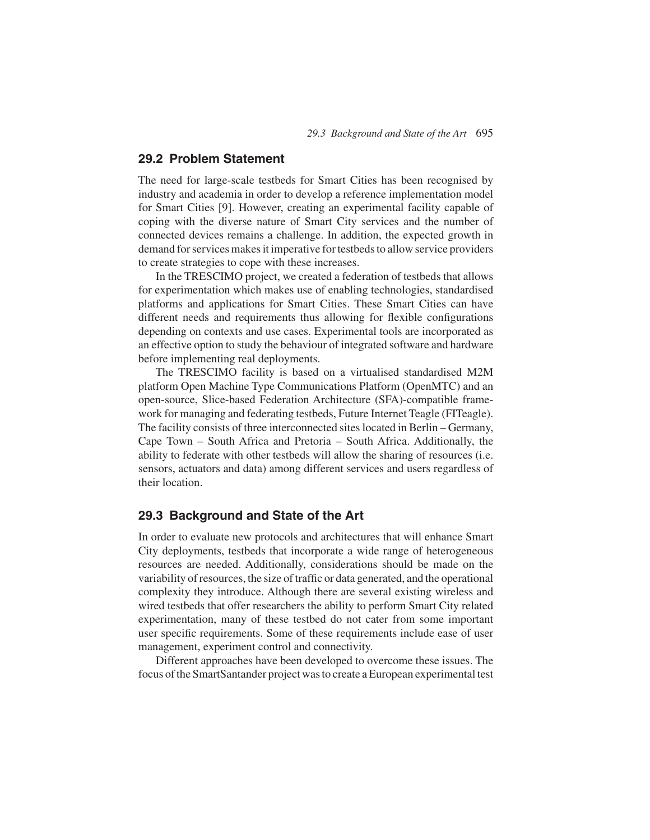# **29.2 Problem Statement**

The need for large-scale testbeds for Smart Cities has been recognised by industry and academia in order to develop a reference implementation model for Smart Cities [9]. However, creating an experimental facility capable of coping with the diverse nature of Smart City services and the number of connected devices remains a challenge. In addition, the expected growth in demand for services makes it imperative for testbeds to allow service providers to create strategies to cope with these increases.

In the TRESCIMO project, we created a federation of testbeds that allows for experimentation which makes use of enabling technologies, standardised platforms and applications for Smart Cities. These Smart Cities can have different needs and requirements thus allowing for flexible configurations depending on contexts and use cases. Experimental tools are incorporated as an effective option to study the behaviour of integrated software and hardware before implementing real deployments.

The TRESCIMO facility is based on a virtualised standardised M2M platform Open Machine Type Communications Platform (OpenMTC) and an open-source, Slice-based Federation Architecture (SFA)-compatible framework for managing and federating testbeds, Future Internet Teagle (FITeagle). The facility consists of three interconnected sites located in Berlin – Germany, Cape Town – South Africa and Pretoria – South Africa. Additionally, the ability to federate with other testbeds will allow the sharing of resources (i.e. sensors, actuators and data) among different services and users regardless of their location.

# **29.3 Background and State of the Art**

In order to evaluate new protocols and architectures that will enhance Smart City deployments, testbeds that incorporate a wide range of heterogeneous resources are needed. Additionally, considerations should be made on the variability of resources, the size of traffic or data generated, and the operational complexity they introduce. Although there are several existing wireless and wired testbeds that offer researchers the ability to perform Smart City related experimentation, many of these testbed do not cater from some important user specific requirements. Some of these requirements include ease of user management, experiment control and connectivity.

Different approaches have been developed to overcome these issues. The focus of the SmartSantander project was to create a European experimental test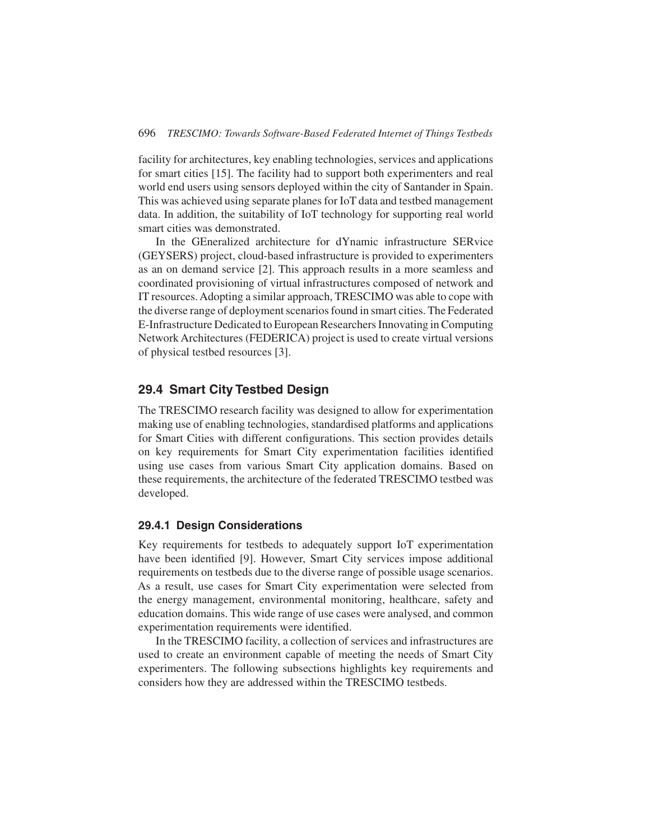facility for architectures, key enabling technologies, services and applications for smart cities [15]. The facility had to support both experimenters and real world end users using sensors deployed within the city of Santander in Spain. This was achieved using separate planes for IoT data and testbed management data. In addition, the suitability of IoT technology for supporting real world smart cities was demonstrated.

In the GEneralized architecture for dYnamic infrastructure SERvice (GEYSERS) project, cloud-based infrastructure is provided to experimenters as an on demand service [2]. This approach results in a more seamless and coordinated provisioning of virtual infrastructures composed of network and IT resources. Adopting a similar approach, TRESCIMO was able to cope with the diverse range of deployment scenarios found in smart cities. The Federated E-Infrastructure Dedicated to European Researchers Innovating in Computing Network Architectures (FEDERICA) project is used to create virtual versions of physical testbed resources [3].

# **29.4 Smart City Testbed Design**

The TRESCIMO research facility was designed to allow for experimentation making use of enabling technologies, standardised platforms and applications for Smart Cities with different configurations. This section provides details on key requirements for Smart City experimentation facilities identified using use cases from various Smart City application domains. Based on these requirements, the architecture of the federated TRESCIMO testbed was developed.

#### **29.4.1 Design Considerations**

Key requirements for testbeds to adequately support IoT experimentation have been identified [9]. However, Smart City services impose additional requirements on testbeds due to the diverse range of possible usage scenarios. As a result, use cases for Smart City experimentation were selected from the energy management, environmental monitoring, healthcare, safety and education domains. This wide range of use cases were analysed, and common experimentation requirements were identified.

In the TRESCIMO facility, a collection of services and infrastructures are used to create an environment capable of meeting the needs of Smart City experimenters. The following subsections highlights key requirements and considers how they are addressed within the TRESCIMO testbeds.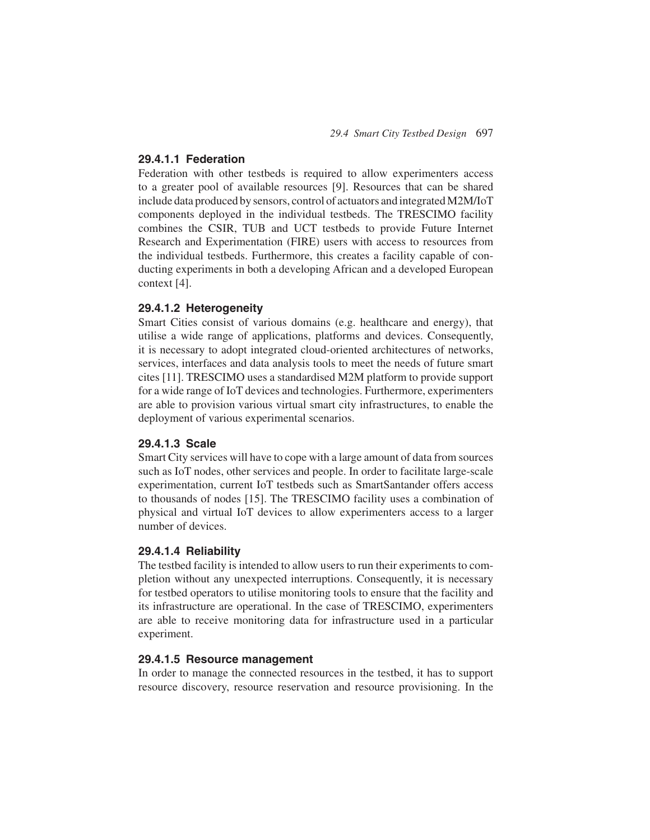# **29.4.1.1 Federation**

Federation with other testbeds is required to allow experimenters access to a greater pool of available resources [9]. Resources that can be shared include data produced by sensors, control of actuators and integrated M2M/IoT components deployed in the individual testbeds. The TRESCIMO facility combines the CSIR, TUB and UCT testbeds to provide Future Internet Research and Experimentation (FIRE) users with access to resources from the individual testbeds. Furthermore, this creates a facility capable of conducting experiments in both a developing African and a developed European context [4].

# **29.4.1.2 Heterogeneity**

Smart Cities consist of various domains (e.g. healthcare and energy), that utilise a wide range of applications, platforms and devices. Consequently, it is necessary to adopt integrated cloud-oriented architectures of networks, services, interfaces and data analysis tools to meet the needs of future smart cites [11]. TRESCIMO uses a standardised M2M platform to provide support for a wide range of IoT devices and technologies. Furthermore, experimenters are able to provision various virtual smart city infrastructures, to enable the deployment of various experimental scenarios.

# **29.4.1.3 Scale**

Smart City services will have to cope with a large amount of data from sources such as IoT nodes, other services and people. In order to facilitate large-scale experimentation, current IoT testbeds such as SmartSantander offers access to thousands of nodes [15]. The TRESCIMO facility uses a combination of physical and virtual IoT devices to allow experimenters access to a larger number of devices.

#### **29.4.1.4 Reliability**

The testbed facility is intended to allow users to run their experiments to completion without any unexpected interruptions. Consequently, it is necessary for testbed operators to utilise monitoring tools to ensure that the facility and its infrastructure are operational. In the case of TRESCIMO, experimenters are able to receive monitoring data for infrastructure used in a particular experiment.

# **29.4.1.5 Resource management**

In order to manage the connected resources in the testbed, it has to support resource discovery, resource reservation and resource provisioning. In the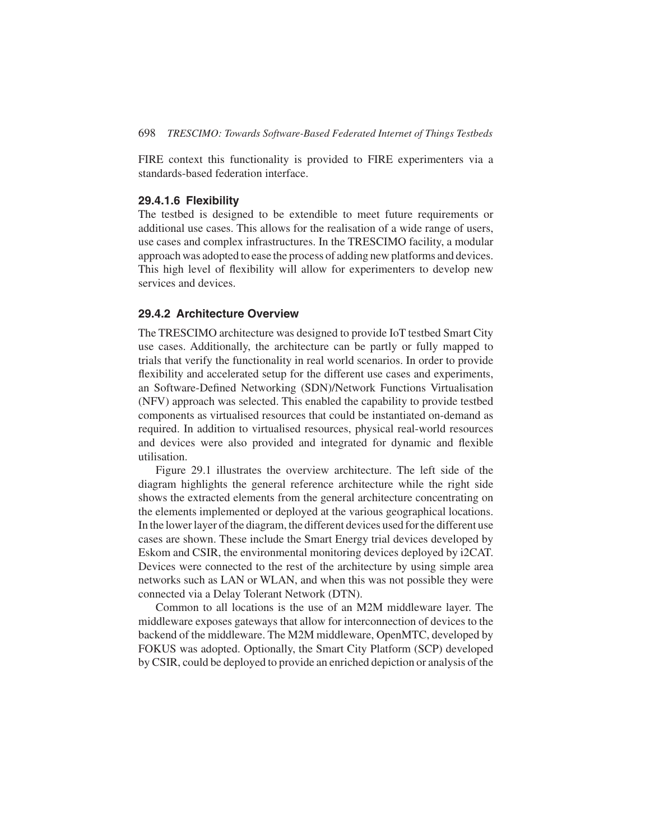FIRE context this functionality is provided to FIRE experimenters via a standards-based federation interface.

#### **29.4.1.6 Flexibility**

The testbed is designed to be extendible to meet future requirements or additional use cases. This allows for the realisation of a wide range of users, use cases and complex infrastructures. In the TRESCIMO facility, a modular approach was adopted to ease the process of adding new platforms and devices. This high level of flexibility will allow for experimenters to develop new services and devices.

#### **29.4.2 Architecture Overview**

The TRESCIMO architecture was designed to provide IoT testbed Smart City use cases. Additionally, the architecture can be partly or fully mapped to trials that verify the functionality in real world scenarios. In order to provide flexibility and accelerated setup for the different use cases and experiments, an Software-Defined Networking (SDN)/Network Functions Virtualisation (NFV) approach was selected. This enabled the capability to provide testbed components as virtualised resources that could be instantiated on-demand as required. In addition to virtualised resources, physical real-world resources and devices were also provided and integrated for dynamic and flexible utilisation.

Figure 29.1 illustrates the overview architecture. The left side of the diagram highlights the general reference architecture while the right side shows the extracted elements from the general architecture concentrating on the elements implemented or deployed at the various geographical locations. In the lower layer of the diagram, the different devices used for the different use cases are shown. These include the Smart Energy trial devices developed by Eskom and CSIR, the environmental monitoring devices deployed by i2CAT. Devices were connected to the rest of the architecture by using simple area networks such as LAN or WLAN, and when this was not possible they were connected via a Delay Tolerant Network (DTN).

Common to all locations is the use of an M2M middleware layer. The middleware exposes gateways that allow for interconnection of devices to the backend of the middleware. The M2M middleware, OpenMTC, developed by FOKUS was adopted. Optionally, the Smart City Platform (SCP) developed by CSIR, could be deployed to provide an enriched depiction or analysis of the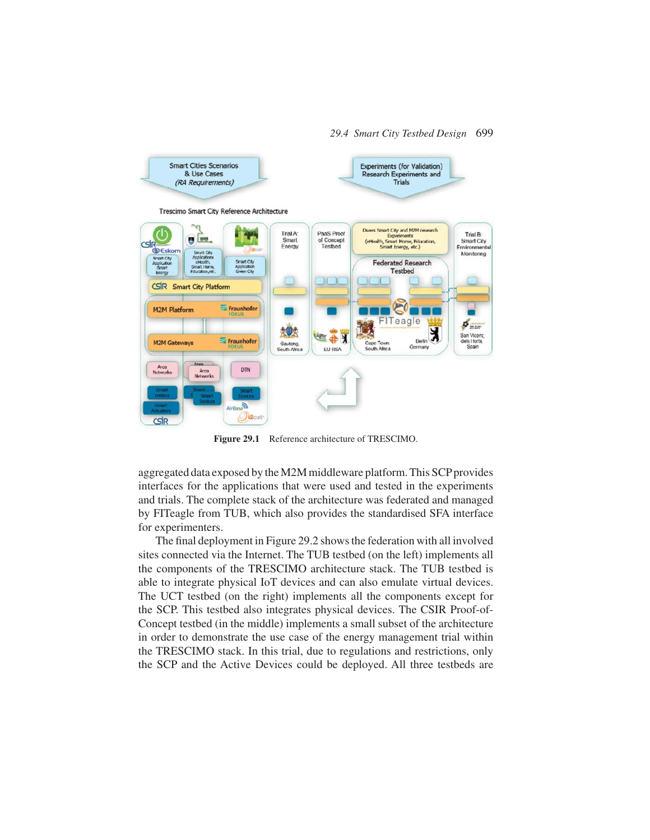#### *29.4 Smart City Testbed Design* 699



**Figure 29.1** Reference architecture of TRESCIMO.

aggregated data exposed by the M2M middleware platform. This SCP provides interfaces for the applications that were used and tested in the experiments and trials. The complete stack of the architecture was federated and managed by FITeagle from TUB, which also provides the standardised SFA interface for experimenters.

The final deployment in Figure 29.2 shows the federation with all involved sites connected via the Internet. The TUB testbed (on the left) implements all the components of the TRESCIMO architecture stack. The TUB testbed is able to integrate physical IoT devices and can also emulate virtual devices. The UCT testbed (on the right) implements all the components except for the SCP. This testbed also integrates physical devices. The CSIR Proof-of-Concept testbed (in the middle) implements a small subset of the architecture in order to demonstrate the use case of the energy management trial within the TRESCIMO stack. In this trial, due to regulations and restrictions, only the SCP and the Active Devices could be deployed. All three testbeds are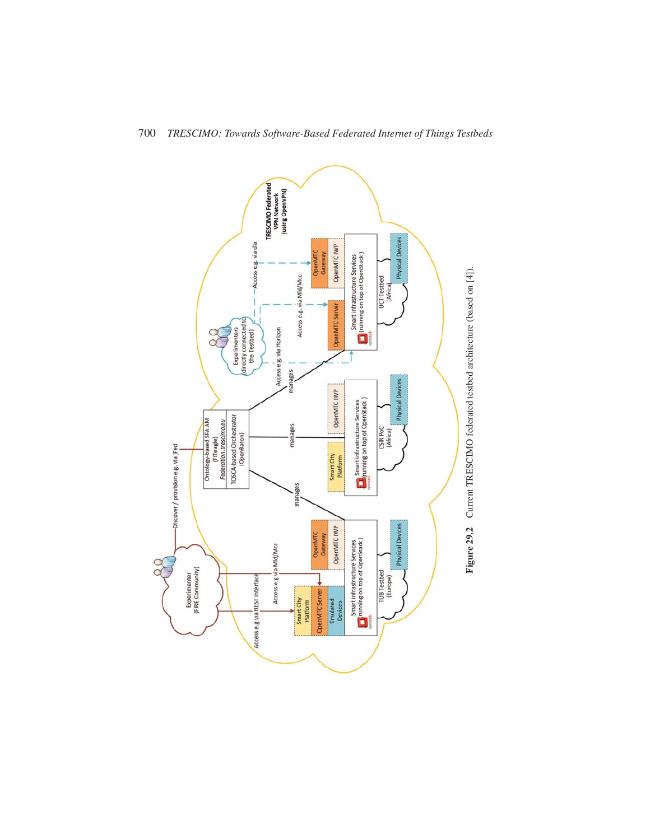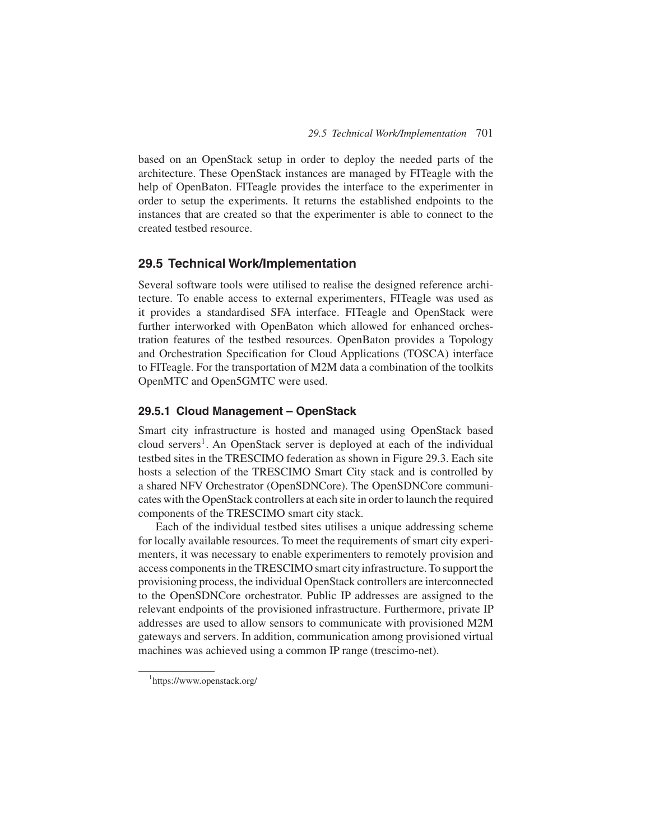based on an OpenStack setup in order to deploy the needed parts of the architecture. These OpenStack instances are managed by FITeagle with the help of OpenBaton. FITeagle provides the interface to the experimenter in order to setup the experiments. It returns the established endpoints to the instances that are created so that the experimenter is able to connect to the created testbed resource.

# **29.5 Technical Work/Implementation**

Several software tools were utilised to realise the designed reference architecture. To enable access to external experimenters, FITeagle was used as it provides a standardised SFA interface. FITeagle and OpenStack were further interworked with OpenBaton which allowed for enhanced orchestration features of the testbed resources. OpenBaton provides a Topology and Orchestration Specification for Cloud Applications (TOSCA) interface to FITeagle. For the transportation of M2M data a combination of the toolkits OpenMTC and Open5GMTC were used.

### **29.5.1 Cloud Management – OpenStack**

Smart city infrastructure is hosted and managed using OpenStack based cloud servers<sup>1</sup>. An OpenStack server is deployed at each of the individual testbed sites in the TRESCIMO federation as shown in Figure 29.3. Each site hosts a selection of the TRESCIMO Smart City stack and is controlled by a shared NFV Orchestrator (OpenSDNCore). The OpenSDNCore communicates with the OpenStack controllers at each site in order to launch the required components of the TRESCIMO smart city stack.

Each of the individual testbed sites utilises a unique addressing scheme for locally available resources. To meet the requirements of smart city experimenters, it was necessary to enable experimenters to remotely provision and access components in the TRESCIMO smart city infrastructure. To support the provisioning process, the individual OpenStack controllers are interconnected to the OpenSDNCore orchestrator. Public IP addresses are assigned to the relevant endpoints of the provisioned infrastructure. Furthermore, private IP addresses are used to allow sensors to communicate with provisioned M2M gateways and servers. In addition, communication among provisioned virtual machines was achieved using a common IP range (trescimo-net).

<sup>1</sup> https://www.openstack.org/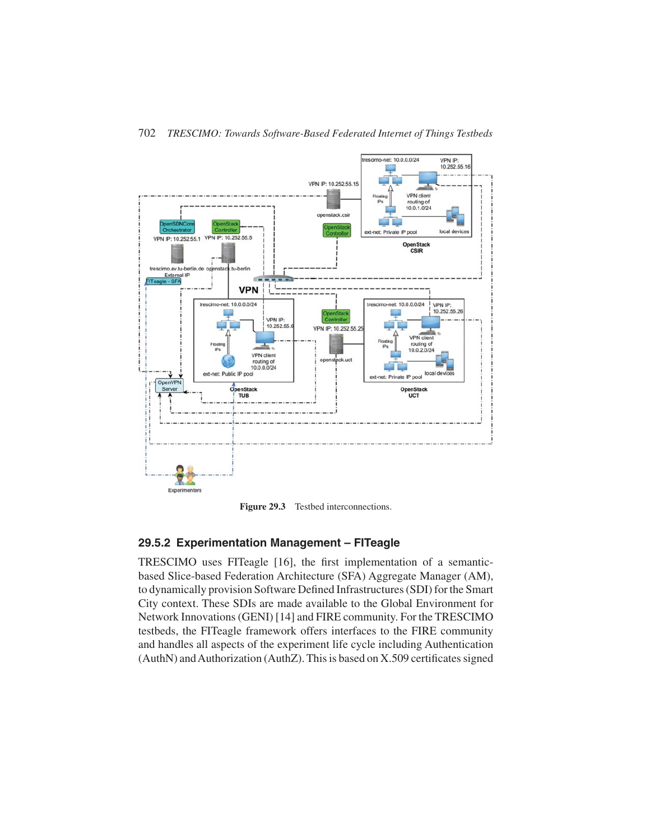

**Figure 29.3** Testbed interconnections.

# **29.5.2 Experimentation Management – FITeagle**

TRESCIMO uses FITeagle [16], the first implementation of a semanticbased Slice-based Federation Architecture (SFA) Aggregate Manager (AM), to dynamically provision Software Defined Infrastructures (SDI) for the Smart City context. These SDIs are made available to the Global Environment for Network Innovations (GENI) [14] and FIRE community. For the TRESCIMO testbeds, the FITeagle framework offers interfaces to the FIRE community and handles all aspects of the experiment life cycle including Authentication (AuthN) and Authorization (AuthZ). This is based on X.509 certificates signed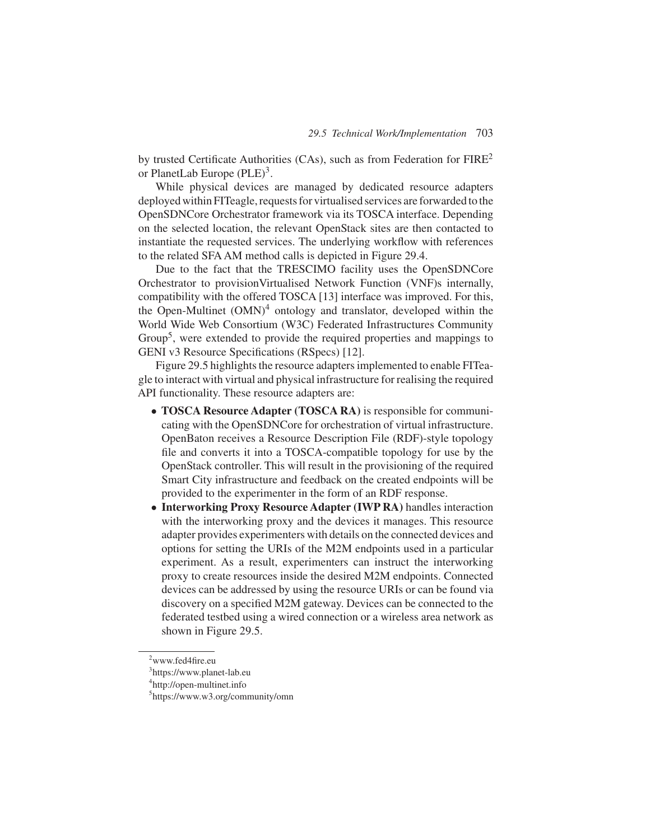by trusted Certificate Authorities (CAs), such as from Federation for  $FIRE^2$ or PlanetLab Europe  $(PLE)^3$ .

While physical devices are managed by dedicated resource adapters deployed within FITeagle, requests for virtualised services are forwarded to the OpenSDNCore Orchestrator framework via its TOSCA interface. Depending on the selected location, the relevant OpenStack sites are then contacted to instantiate the requested services. The underlying workflow with references to the related SFA AM method calls is depicted in Figure 29.4.

Due to the fact that the TRESCIMO facility uses the OpenSDNCore Orchestrator to provisionVirtualised Network Function (VNF)s internally, compatibility with the offered TOSCA [13] interface was improved. For this, the Open-Multinet  $(OMN)^4$  ontology and translator, developed within the World Wide Web Consortium (W3C) Federated Infrastructures Community Group<sup>5</sup>, were extended to provide the required properties and mappings to GENI v3 Resource Specifications (RSpecs) [12].

Figure 29.5 highlights the resource adapters implemented to enable FITeagle to interact with virtual and physical infrastructure for realising the required API functionality. These resource adapters are:

- **TOSCA Resource Adapter (TOSCA RA)** is responsible for communicating with the OpenSDNCore for orchestration of virtual infrastructure. OpenBaton receives a Resource Description File (RDF)-style topology file and converts it into a TOSCA-compatible topology for use by the OpenStack controller. This will result in the provisioning of the required Smart City infrastructure and feedback on the created endpoints will be provided to the experimenter in the form of an RDF response.
- **Interworking Proxy Resource Adapter (IWP RA)** handles interaction with the interworking proxy and the devices it manages. This resource adapter provides experimenters with details on the connected devices and options for setting the URIs of the M2M endpoints used in a particular experiment. As a result, experimenters can instruct the interworking proxy to create resources inside the desired M2M endpoints. Connected devices can be addressed by using the resource URIs or can be found via discovery on a specified M2M gateway. Devices can be connected to the federated testbed using a wired connection or a wireless area network as shown in Figure 29.5.

<sup>2</sup> www.fed4fire.eu

<sup>3</sup> https://www.planet-lab.eu

<sup>4</sup> http://open-multinet.info

<sup>5</sup> https://www.w3.org/community/omn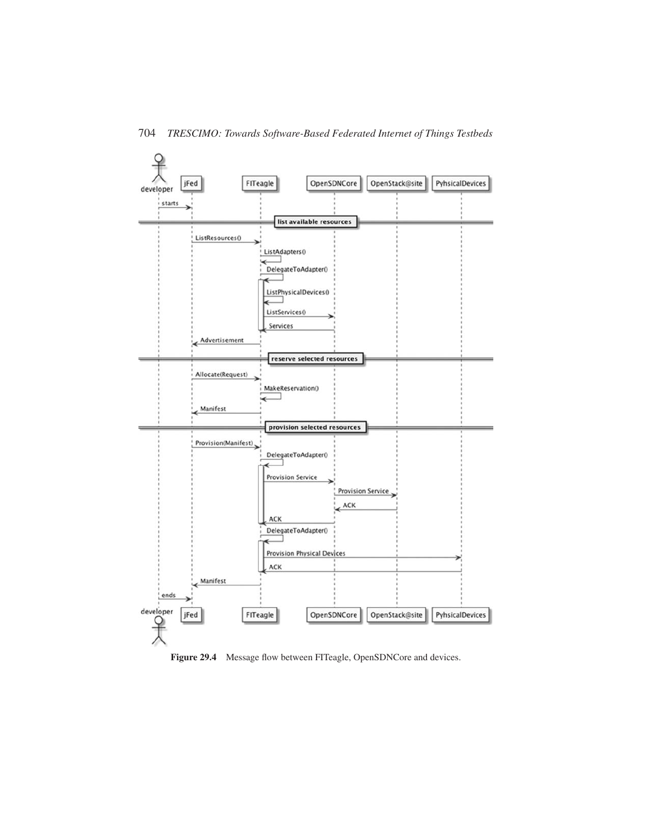

**Figure 29.4** Message flow between FITeagle, OpenSDNCore and devices.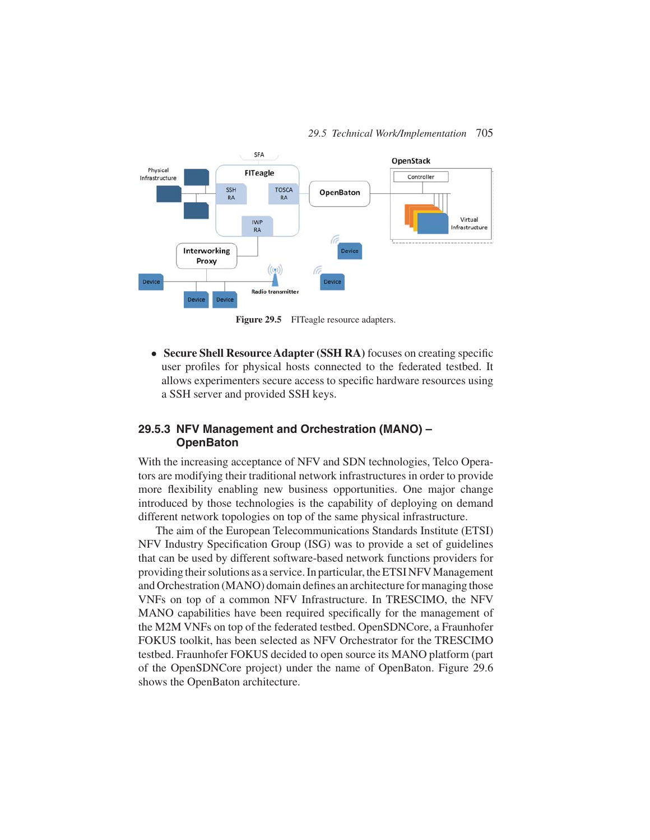

Figure 29.5 FITeagle resource adapters.

• **Secure Shell Resource Adapter (SSH RA)** focuses on creating specific user profiles for physical hosts connected to the federated testbed. It allows experimenters secure access to specific hardware resources using a SSH server and provided SSH keys.

# **29.5.3 NFV Management and Orchestration (MANO) – OpenBaton**

With the increasing acceptance of NFV and SDN technologies, Telco Operators are modifying their traditional network infrastructures in order to provide more flexibility enabling new business opportunities. One major change introduced by those technologies is the capability of deploying on demand different network topologies on top of the same physical infrastructure.

The aim of the European Telecommunications Standards Institute (ETSI) NFV Industry Specification Group (ISG) was to provide a set of guidelines that can be used by different software-based network functions providers for providing their solutions as a service. In particular, the ETSI NFV Management and Orchestration (MANO) domain defines an architecture for managing those VNFs on top of a common NFV Infrastructure. In TRESCIMO, the NFV MANO capabilities have been required specifically for the management of the M2M VNFs on top of the federated testbed. OpenSDNCore, a Fraunhofer FOKUS toolkit, has been selected as NFV Orchestrator for the TRESCIMO testbed. Fraunhofer FOKUS decided to open source its MANO platform (part of the OpenSDNCore project) under the name of OpenBaton. Figure 29.6 shows the OpenBaton architecture.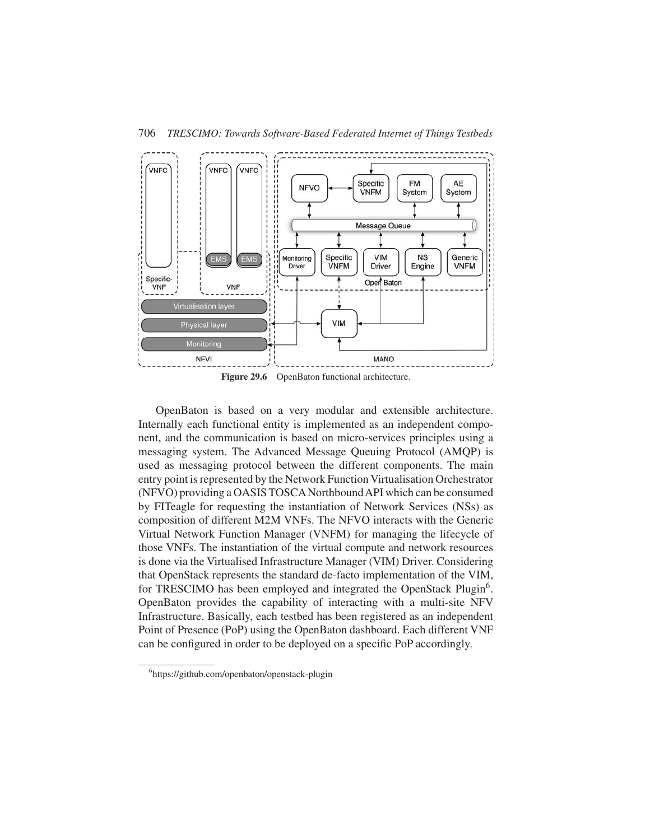

706 *TRESCIMO: Towards Software-Based Federated Internet of Things Testbeds*



OpenBaton is based on a very modular and extensible architecture. Internally each functional entity is implemented as an independent component, and the communication is based on micro-services principles using a messaging system. The Advanced Message Queuing Protocol (AMQP) is used as messaging protocol between the different components. The main entry point is represented by the Network Function Virtualisation Orchestrator (NFVO) providing a OASIS TOSCANorthboundAPI which can be consumed by FITeagle for requesting the instantiation of Network Services (NSs) as composition of different M2M VNFs. The NFVO interacts with the Generic Virtual Network Function Manager (VNFM) for managing the lifecycle of those VNFs. The instantiation of the virtual compute and network resources is done via the Virtualised Infrastructure Manager (VIM) Driver. Considering that OpenStack represents the standard de-facto implementation of the VIM, for TRESCIMO has been employed and integrated the OpenStack Plugin<sup>6</sup>. OpenBaton provides the capability of interacting with a multi-site NFV Infrastructure. Basically, each testbed has been registered as an independent Point of Presence (PoP) using the OpenBaton dashboard. Each different VNF can be configured in order to be deployed on a specific PoP accordingly.

<sup>6</sup> https://github.com/openbaton/openstack-plugin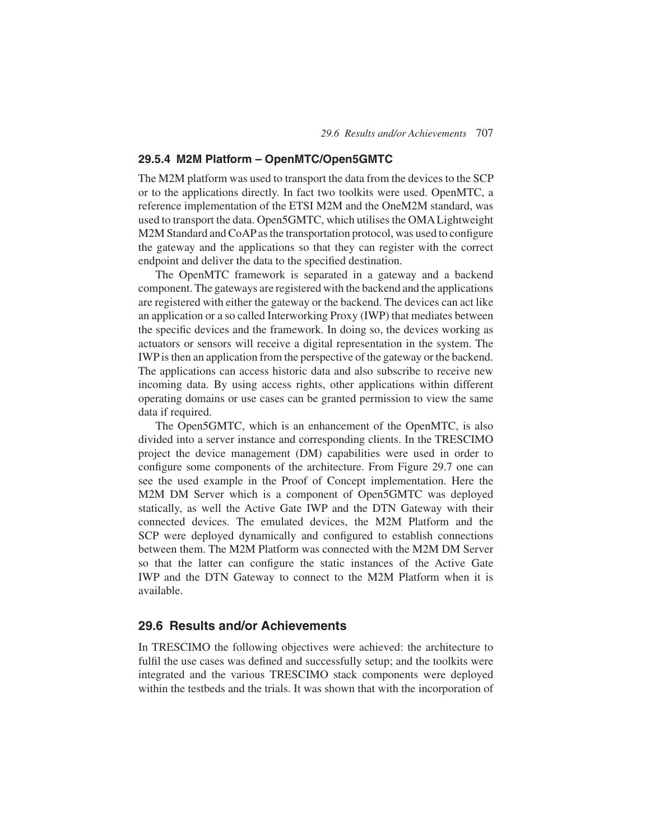#### **29.5.4 M2M Platform – OpenMTC/Open5GMTC**

The M2M platform was used to transport the data from the devices to the SCP or to the applications directly. In fact two toolkits were used. OpenMTC, a reference implementation of the ETSI M2M and the OneM2M standard, was used to transport the data. Open5GMTC, which utilises the OMA Lightweight M2M Standard and CoAP as the transportation protocol, was used to configure the gateway and the applications so that they can register with the correct endpoint and deliver the data to the specified destination.

The OpenMTC framework is separated in a gateway and a backend component. The gateways are registered with the backend and the applications are registered with either the gateway or the backend. The devices can act like an application or a so called Interworking Proxy (IWP) that mediates between the specific devices and the framework. In doing so, the devices working as actuators or sensors will receive a digital representation in the system. The IWP is then an application from the perspective of the gateway or the backend. The applications can access historic data and also subscribe to receive new incoming data. By using access rights, other applications within different operating domains or use cases can be granted permission to view the same data if required.

The Open5GMTC, which is an enhancement of the OpenMTC, is also divided into a server instance and corresponding clients. In the TRESCIMO project the device management (DM) capabilities were used in order to configure some components of the architecture. From Figure 29.7 one can see the used example in the Proof of Concept implementation. Here the M2M DM Server which is a component of Open5GMTC was deployed statically, as well the Active Gate IWP and the DTN Gateway with their connected devices. The emulated devices, the M2M Platform and the SCP were deployed dynamically and configured to establish connections between them. The M2M Platform was connected with the M2M DM Server so that the latter can configure the static instances of the Active Gate IWP and the DTN Gateway to connect to the M2M Platform when it is available.

# **29.6 Results and/or Achievements**

In TRESCIMO the following objectives were achieved: the architecture to fulfil the use cases was defined and successfully setup; and the toolkits were integrated and the various TRESCIMO stack components were deployed within the testbeds and the trials. It was shown that with the incorporation of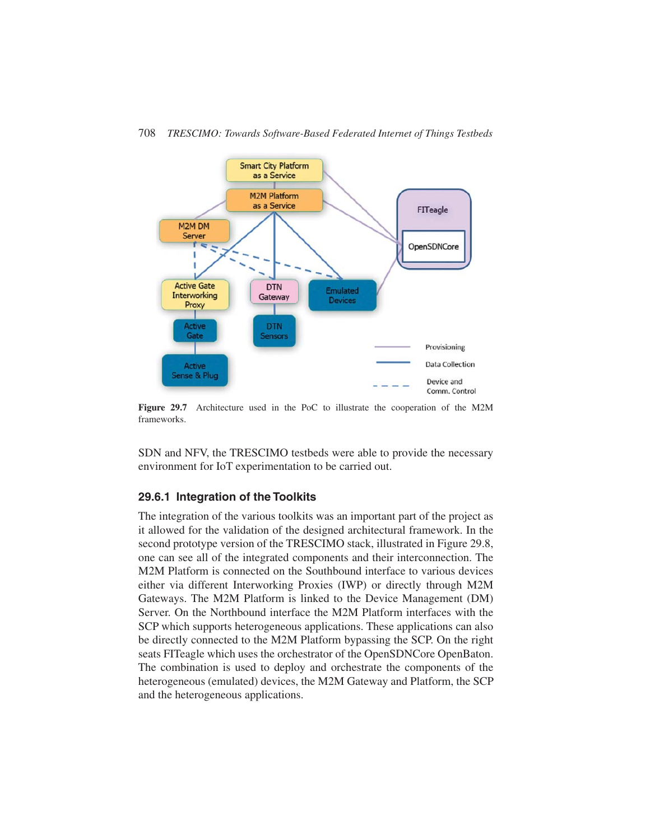

# 708 *TRESCIMO: Towards Software-Based Federated Internet of Things Testbeds*

**Figure 29.7** Architecture used in the PoC to illustrate the cooperation of the M2M frameworks.

SDN and NFV, the TRESCIMO testbeds were able to provide the necessary environment for IoT experimentation to be carried out.

#### **29.6.1 Integration of the Toolkits**

The integration of the various toolkits was an important part of the project as it allowed for the validation of the designed architectural framework. In the second prototype version of the TRESCIMO stack, illustrated in Figure 29.8, one can see all of the integrated components and their interconnection. The M2M Platform is connected on the Southbound interface to various devices either via different Interworking Proxies (IWP) or directly through M2M Gateways. The M2M Platform is linked to the Device Management (DM) Server. On the Northbound interface the M2M Platform interfaces with the SCP which supports heterogeneous applications. These applications can also be directly connected to the M2M Platform bypassing the SCP. On the right seats FITeagle which uses the orchestrator of the OpenSDNCore OpenBaton. The combination is used to deploy and orchestrate the components of the heterogeneous (emulated) devices, the M2M Gateway and Platform, the SCP and the heterogeneous applications.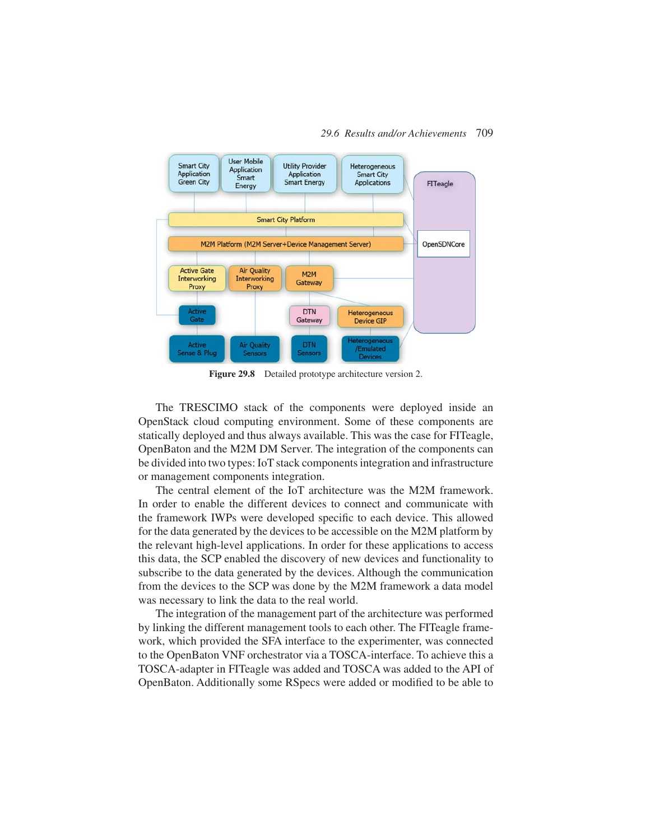

**Figure 29.8** Detailed prototype architecture version 2.

The TRESCIMO stack of the components were deployed inside an OpenStack cloud computing environment. Some of these components are statically deployed and thus always available. This was the case for FITeagle, OpenBaton and the M2M DM Server. The integration of the components can be divided into two types: IoT stack components integration and infrastructure or management components integration.

The central element of the IoT architecture was the M2M framework. In order to enable the different devices to connect and communicate with the framework IWPs were developed specific to each device. This allowed for the data generated by the devices to be accessible on the M2M platform by the relevant high-level applications. In order for these applications to access this data, the SCP enabled the discovery of new devices and functionality to subscribe to the data generated by the devices. Although the communication from the devices to the SCP was done by the M2M framework a data model was necessary to link the data to the real world.

The integration of the management part of the architecture was performed by linking the different management tools to each other. The FITeagle framework, which provided the SFA interface to the experimenter, was connected to the OpenBaton VNF orchestrator via a TOSCA-interface. To achieve this a TOSCA-adapter in FITeagle was added and TOSCA was added to the API of OpenBaton. Additionally some RSpecs were added or modified to be able to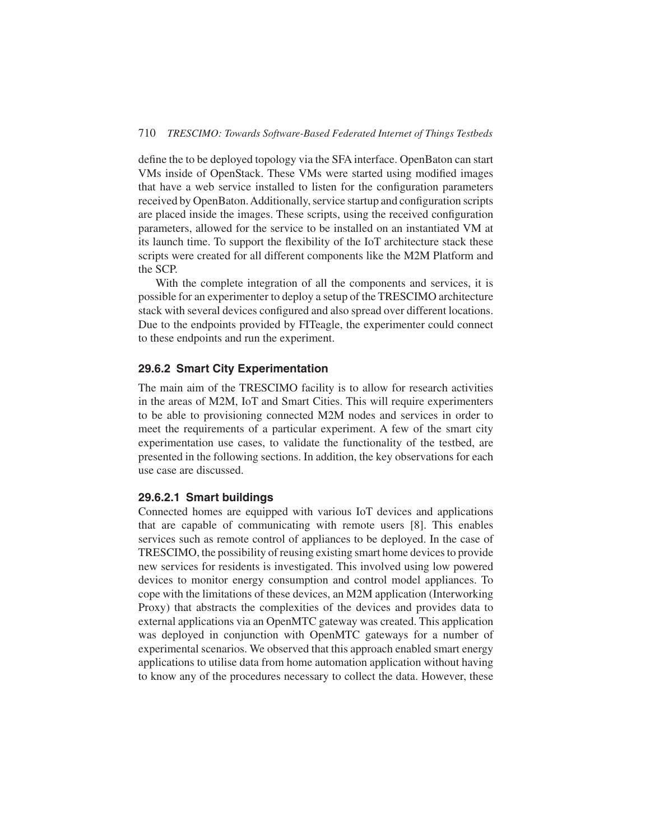define the to be deployed topology via the SFA interface. OpenBaton can start VMs inside of OpenStack. These VMs were started using modified images that have a web service installed to listen for the configuration parameters received by OpenBaton. Additionally, service startup and configuration scripts are placed inside the images. These scripts, using the received configuration parameters, allowed for the service to be installed on an instantiated VM at its launch time. To support the flexibility of the IoT architecture stack these scripts were created for all different components like the M2M Platform and the SCP.

With the complete integration of all the components and services, it is possible for an experimenter to deploy a setup of the TRESCIMO architecture stack with several devices configured and also spread over different locations. Due to the endpoints provided by FITeagle, the experimenter could connect to these endpoints and run the experiment.

# **29.6.2 Smart City Experimentation**

The main aim of the TRESCIMO facility is to allow for research activities in the areas of M2M, IoT and Smart Cities. This will require experimenters to be able to provisioning connected M2M nodes and services in order to meet the requirements of a particular experiment. A few of the smart city experimentation use cases, to validate the functionality of the testbed, are presented in the following sections. In addition, the key observations for each use case are discussed.

#### **29.6.2.1 Smart buildings**

Connected homes are equipped with various IoT devices and applications that are capable of communicating with remote users [8]. This enables services such as remote control of appliances to be deployed. In the case of TRESCIMO, the possibility of reusing existing smart home devices to provide new services for residents is investigated. This involved using low powered devices to monitor energy consumption and control model appliances. To cope with the limitations of these devices, an M2M application (Interworking Proxy) that abstracts the complexities of the devices and provides data to external applications via an OpenMTC gateway was created. This application was deployed in conjunction with OpenMTC gateways for a number of experimental scenarios. We observed that this approach enabled smart energy applications to utilise data from home automation application without having to know any of the procedures necessary to collect the data. However, these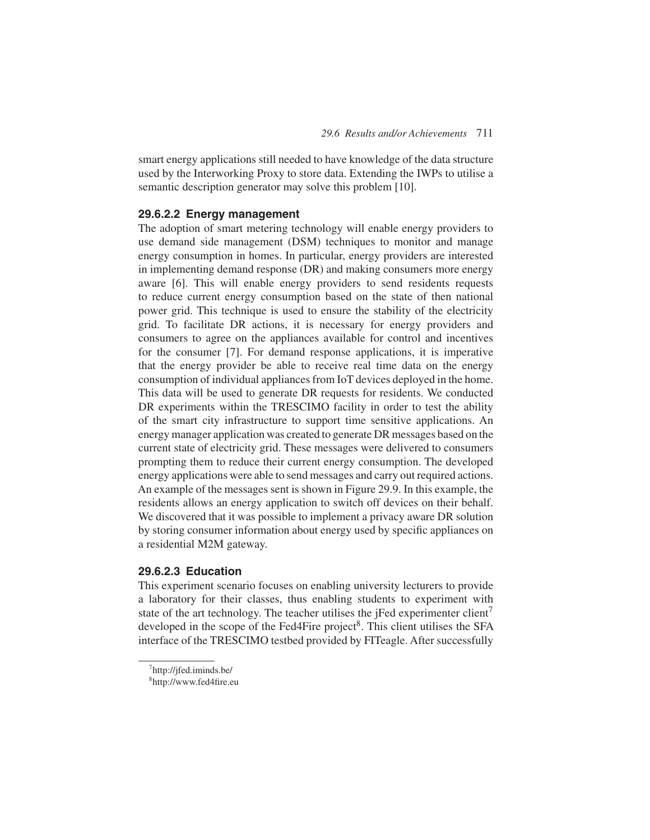smart energy applications still needed to have knowledge of the data structure used by the Interworking Proxy to store data. Extending the IWPs to utilise a semantic description generator may solve this problem [10].

#### **29.6.2.2 Energy management**

The adoption of smart metering technology will enable energy providers to use demand side management (DSM) techniques to monitor and manage energy consumption in homes. In particular, energy providers are interested in implementing demand response (DR) and making consumers more energy aware [6]. This will enable energy providers to send residents requests to reduce current energy consumption based on the state of then national power grid. This technique is used to ensure the stability of the electricity grid. To facilitate DR actions, it is necessary for energy providers and consumers to agree on the appliances available for control and incentives for the consumer [7]. For demand response applications, it is imperative that the energy provider be able to receive real time data on the energy consumption of individual appliances from IoT devices deployed in the home. This data will be used to generate DR requests for residents. We conducted DR experiments within the TRESCIMO facility in order to test the ability of the smart city infrastructure to support time sensitive applications. An energy manager application was created to generate DR messages based on the current state of electricity grid. These messages were delivered to consumers prompting them to reduce their current energy consumption. The developed energy applications were able to send messages and carry out required actions. An example of the messages sent is shown in Figure 29.9. In this example, the residents allows an energy application to switch off devices on their behalf. We discovered that it was possible to implement a privacy aware DR solution by storing consumer information about energy used by specific appliances on a residential M2M gateway.

#### **29.6.2.3 Education**

This experiment scenario focuses on enabling university lecturers to provide a laboratory for their classes, thus enabling students to experiment with state of the art technology. The teacher utilises the jFed experimenter client<sup>7</sup> developed in the scope of the Fed4Fire project<sup>8</sup>. This client utilises the SFA interface of the TRESCIMO testbed provided by FITeagle. After successfully

<sup>&</sup>lt;sup>7</sup>http://jfed.iminds.be/

<sup>8</sup> http://www.fed4fire.eu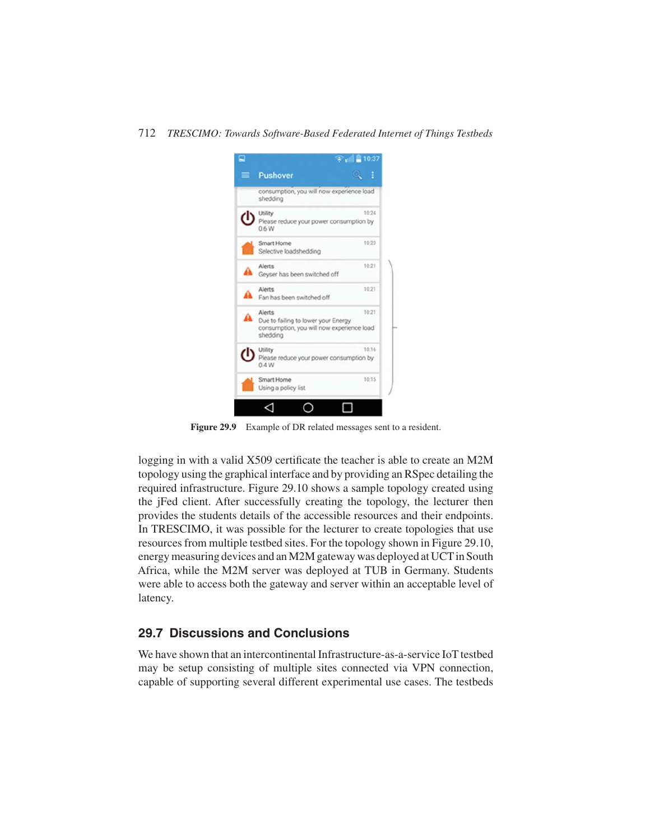#### 712 *TRESCIMO: Towards Software-Based Federated Internet of Things Testbeds*



**Figure 29.9** Example of DR related messages sent to a resident.

logging in with a valid X509 certificate the teacher is able to create an M2M topology using the graphical interface and by providing an RSpec detailing the required infrastructure. Figure 29.10 shows a sample topology created using the jFed client. After successfully creating the topology, the lecturer then provides the students details of the accessible resources and their endpoints. In TRESCIMO, it was possible for the lecturer to create topologies that use resources from multiple testbed sites. For the topology shown in Figure 29.10, energy measuring devices and an M2M gateway was deployed at UCT in South Africa, while the M2M server was deployed at TUB in Germany. Students were able to access both the gateway and server within an acceptable level of latency.

# **29.7 Discussions and Conclusions**

We have shown that an intercontinental Infrastructure-as-a-service IoT testbed may be setup consisting of multiple sites connected via VPN connection, capable of supporting several different experimental use cases. The testbeds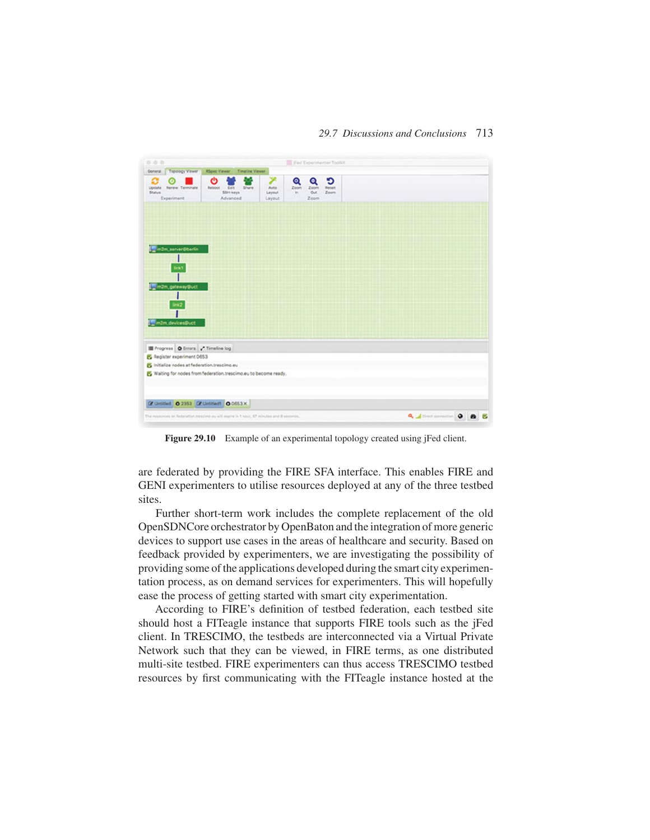

Figure 29.10 Example of an experimental topology created using jFed client.

are federated by providing the FIRE SFA interface. This enables FIRE and GENI experimenters to utilise resources deployed at any of the three testbed sites.

Further short-term work includes the complete replacement of the old OpenSDNCore orchestrator by OpenBaton and the integration of more generic devices to support use cases in the areas of healthcare and security. Based on feedback provided by experimenters, we are investigating the possibility of providing some of the applications developed during the smart city experimentation process, as on demand services for experimenters. This will hopefully ease the process of getting started with smart city experimentation.

According to FIRE's definition of testbed federation, each testbed site should host a FITeagle instance that supports FIRE tools such as the jFed client. In TRESCIMO, the testbeds are interconnected via a Virtual Private Network such that they can be viewed, in FIRE terms, as one distributed multi-site testbed. FIRE experimenters can thus access TRESCIMO testbed resources by first communicating with the FITeagle instance hosted at the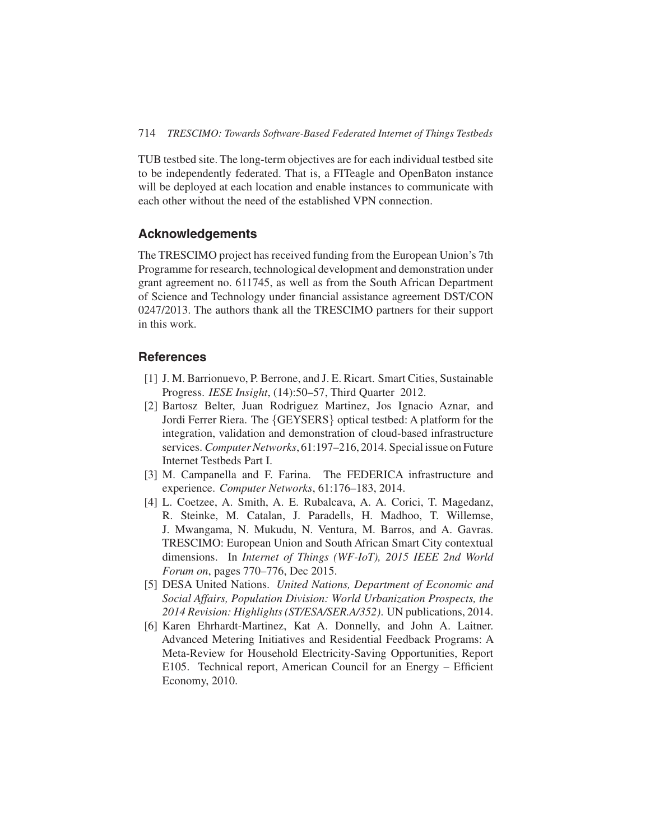TUB testbed site. The long-term objectives are for each individual testbed site to be independently federated. That is, a FITeagle and OpenBaton instance will be deployed at each location and enable instances to communicate with each other without the need of the established VPN connection.

# **Acknowledgements**

The TRESCIMO project has received funding from the European Union's 7th Programme for research, technological development and demonstration under grant agreement no. 611745, as well as from the South African Department of Science and Technology under financial assistance agreement DST/CON 0247/2013. The authors thank all the TRESCIMO partners for their support in this work.

#### **References**

- [1] J. M. Barrionuevo, P. Berrone, and J. E. Ricart. Smart Cities, Sustainable Progress. *IESE Insight*, (14):50–57, Third Quarter 2012.
- [2] Bartosz Belter, Juan Rodriguez Martinez, Jos Ignacio Aznar, and Jordi Ferrer Riera. The {GEYSERS} optical testbed: A platform for the integration, validation and demonstration of cloud-based infrastructure services. *Computer Networks*, 61:197–216, 2014. Special issue on Future Internet Testbeds Part I.
- [3] M. Campanella and F. Farina. The FEDERICA infrastructure and experience. *Computer Networks*, 61:176–183, 2014.
- [4] L. Coetzee, A. Smith, A. E. Rubalcava, A. A. Corici, T. Magedanz, R. Steinke, M. Catalan, J. Paradells, H. Madhoo, T. Willemse, J. Mwangama, N. Mukudu, N. Ventura, M. Barros, and A. Gavras. TRESCIMO: European Union and South African Smart City contextual dimensions. In *Internet of Things (WF-IoT), 2015 IEEE 2nd World Forum on*, pages 770–776, Dec 2015.
- [5] DESA United Nations. *United Nations, Department of Economic and Social Affairs, Population Division: World Urbanization Prospects, the 2014 Revision: Highlights (ST/ESA/SER.A/352)*. UN publications, 2014.
- [6] Karen Ehrhardt-Martinez, Kat A. Donnelly, and John A. Laitner. Advanced Metering Initiatives and Residential Feedback Programs: A Meta-Review for Household Electricity-Saving Opportunities, Report E105. Technical report, American Council for an Energy – Efficient Economy, 2010.